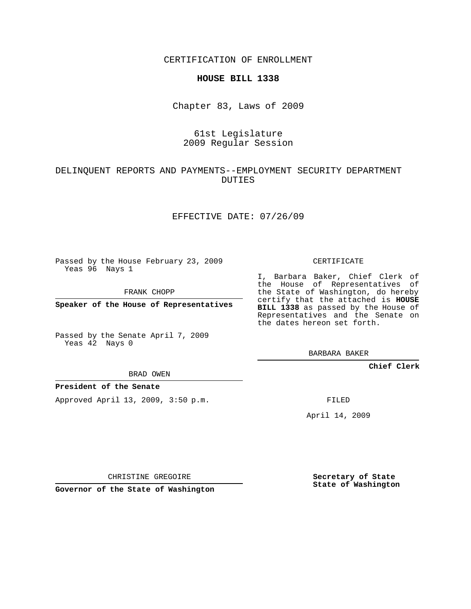CERTIFICATION OF ENROLLMENT

#### **HOUSE BILL 1338**

Chapter 83, Laws of 2009

## 61st Legislature 2009 Regular Session

## DELINQUENT REPORTS AND PAYMENTS--EMPLOYMENT SECURITY DEPARTMENT DUTIES

#### EFFECTIVE DATE: 07/26/09

Passed by the House February 23, 2009 Yeas 96 Nays 1

FRANK CHOPP

**Speaker of the House of Representatives**

Passed by the Senate April 7, 2009 Yeas 42 Nays 0

BRAD OWEN

### **President of the Senate**

Approved April 13, 2009, 3:50 p.m.

CERTIFICATE

I, Barbara Baker, Chief Clerk of the House of Representatives of the State of Washington, do hereby certify that the attached is **HOUSE BILL 1338** as passed by the House of Representatives and the Senate on the dates hereon set forth.

BARBARA BAKER

**Chief Clerk**

FILED

April 14, 2009

CHRISTINE GREGOIRE

**Governor of the State of Washington**

**Secretary of State State of Washington**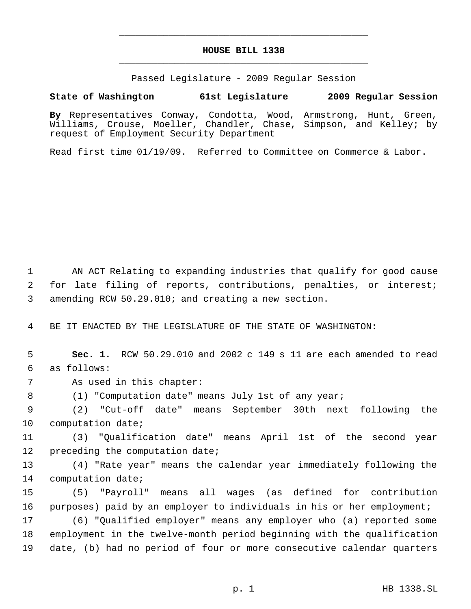# **HOUSE BILL 1338** \_\_\_\_\_\_\_\_\_\_\_\_\_\_\_\_\_\_\_\_\_\_\_\_\_\_\_\_\_\_\_\_\_\_\_\_\_\_\_\_\_\_\_\_\_

\_\_\_\_\_\_\_\_\_\_\_\_\_\_\_\_\_\_\_\_\_\_\_\_\_\_\_\_\_\_\_\_\_\_\_\_\_\_\_\_\_\_\_\_\_

Passed Legislature - 2009 Regular Session

## **State of Washington 61st Legislature 2009 Regular Session**

**By** Representatives Conway, Condotta, Wood, Armstrong, Hunt, Green, Williams, Crouse, Moeller, Chandler, Chase, Simpson, and Kelley; by request of Employment Security Department

Read first time 01/19/09. Referred to Committee on Commerce & Labor.

 1 AN ACT Relating to expanding industries that qualify for good cause 2 for late filing of reports, contributions, penalties, or interest; 3 amending RCW 50.29.010; and creating a new section.

4 BE IT ENACTED BY THE LEGISLATURE OF THE STATE OF WASHINGTON:

 5 **Sec. 1.** RCW 50.29.010 and 2002 c 149 s 11 are each amended to read 6 as follows:

7 As used in this chapter:

8 (1) "Computation date" means July 1st of any year;

 9 (2) "Cut-off date" means September 30th next following the 10 computation date;

11 (3) "Qualification date" means April 1st of the second year 12 preceding the computation date;

13 (4) "Rate year" means the calendar year immediately following the 14 computation date;

15 (5) "Payroll" means all wages (as defined for contribution 16 purposes) paid by an employer to individuals in his or her employment;

17 (6) "Qualified employer" means any employer who (a) reported some 18 employment in the twelve-month period beginning with the qualification 19 date, (b) had no period of four or more consecutive calendar quarters